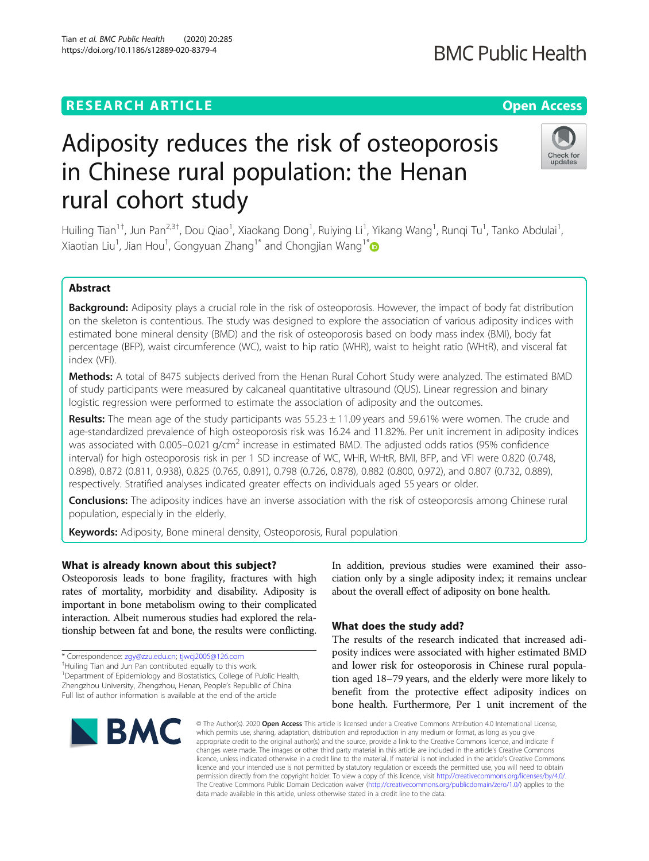## **RESEARCH ARTICLE Example 2014 12:30 The Contract of Contract ACCESS**

# Adiposity reduces the risk of osteoporosis in Chinese rural population: the Henan rural cohort study

Huiling Tian<sup>1†</sup>, Jun Pan<sup>2,3†</sup>, Dou Qiao<sup>1</sup>, Xiaokang Dong<sup>1</sup>, Ruiying Li<sup>1</sup>, Yikang Wang<sup>1</sup>, Runqi Tu<sup>1</sup>, Tanko Abdulai<sup>1</sup> , Xiaotian Liu<sup>1</sup>, Jian Hou<sup>1</sup>, Gongyuan Zhang<sup>1[\\*](http://orcid.org/0000-0001-5091-6621)</sup> and Chongjian Wang<sup>1\*</sup>

## Abstract

Background: Adiposity plays a crucial role in the risk of osteoporosis. However, the impact of body fat distribution on the skeleton is contentious. The study was designed to explore the association of various adiposity indices with estimated bone mineral density (BMD) and the risk of osteoporosis based on body mass index (BMI), body fat percentage (BFP), waist circumference (WC), waist to hip ratio (WHR), waist to height ratio (WHtR), and visceral fat index (VFI).

Methods: A total of 8475 subjects derived from the Henan Rural Cohort Study were analyzed. The estimated BMD of study participants were measured by calcaneal quantitative ultrasound (QUS). Linear regression and binary logistic regression were performed to estimate the association of adiposity and the outcomes.

Results: The mean age of the study participants was  $55.23 \pm 11.09$  years and  $59.61\%$  were women. The crude and age-standardized prevalence of high osteoporosis risk was 16.24 and 11.82%. Per unit increment in adiposity indices was associated with  $0.005-0.021$  g/cm<sup>2</sup> increase in estimated BMD. The adjusted odds ratios (95% confidence interval) for high osteoporosis risk in per 1 SD increase of WC, WHR, WHtR, BMI, BFP, and VFI were 0.820 (0.748, 0.898), 0.872 (0.811, 0.938), 0.825 (0.765, 0.891), 0.798 (0.726, 0.878), 0.882 (0.800, 0.972), and 0.807 (0.732, 0.889), respectively. Stratified analyses indicated greater effects on individuals aged 55 years or older.

**Conclusions:** The adiposity indices have an inverse association with the risk of osteoporosis among Chinese rural population, especially in the elderly.

Keywords: Adiposity, Bone mineral density, Osteoporosis, Rural population

#### What is already known about this subject?

Osteoporosis leads to bone fragility, fractures with high rates of mortality, morbidity and disability. Adiposity is important in bone metabolism owing to their complicated interaction. Albeit numerous studies had explored the relationship between fat and bone, the results were conflicting.

\* Correspondence: [zgy@zzu.edu.cn](mailto:zgy@zzu.edu.cn); [tjwcj2005@126.com](mailto:tjwcj2005@126.com) †

<sup>1</sup>Department of Epidemiology and Biostatistics, College of Public Health, Zhengzhou University, Zhengzhou, Henan, People's Republic of China Full list of author information is available at the end of the article



In addition, previous studies were examined their association only by a single adiposity index; it remains unclear about the overall effect of adiposity on bone health.

#### What does the study add?

The results of the research indicated that increased adiposity indices were associated with higher estimated BMD and lower risk for osteoporosis in Chinese rural population aged 18–79 years, and the elderly were more likely to benefit from the protective effect adiposity indices on bone health. Furthermore, Per 1 unit increment of the

© The Author(s), 2020 **Open Access** This article is licensed under a Creative Commons Attribution 4.0 International License, which permits use, sharing, adaptation, distribution and reproduction in any medium or format, as long as you give appropriate credit to the original author(s) and the source, provide a link to the Creative Commons licence, and indicate if changes were made. The images or other third party material in this article are included in the article's Creative Commons licence, unless indicated otherwise in a credit line to the material. If material is not included in the article's Creative Commons licence and your intended use is not permitted by statutory regulation or exceeds the permitted use, you will need to obtain permission directly from the copyright holder. To view a copy of this licence, visit [http://creativecommons.org/licenses/by/4.0/.](http://creativecommons.org/licenses/by/4.0/) The Creative Commons Public Domain Dedication waiver [\(http://creativecommons.org/publicdomain/zero/1.0/](http://creativecommons.org/publicdomain/zero/1.0/)) applies to the data made available in this article, unless otherwise stated in a credit line to the data.





 $^\dagger$ Huiling Tian and Jun Pan contributed equally to this work.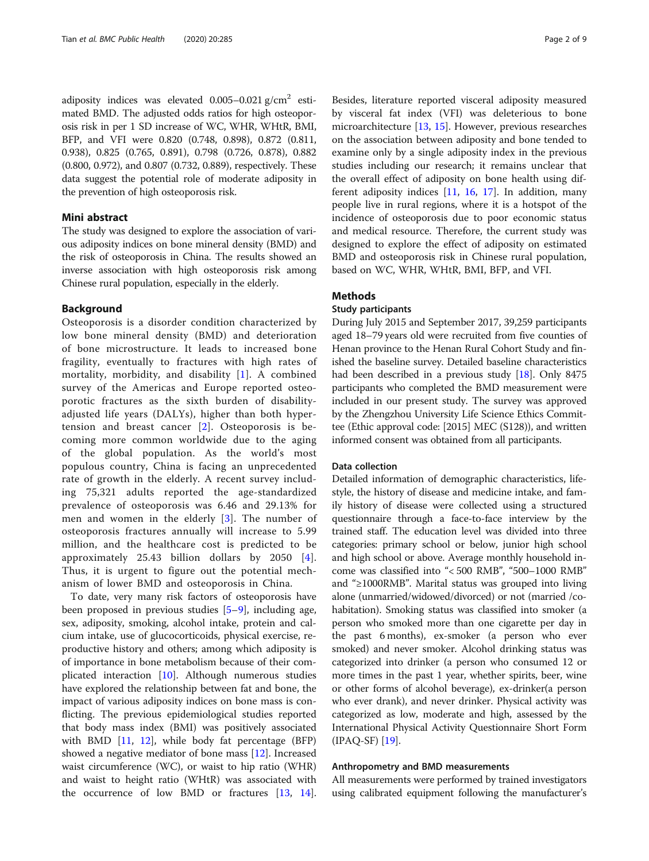adiposity indices was elevated  $0.005-0.021$  g/cm<sup>2</sup> estimated BMD. The adjusted odds ratios for high osteoporosis risk in per 1 SD increase of WC, WHR, WHtR, BMI, BFP, and VFI were 0.820 (0.748, 0.898), 0.872 (0.811, 0.938), 0.825 (0.765, 0.891), 0.798 (0.726, 0.878), 0.882 (0.800, 0.972), and 0.807 (0.732, 0.889), respectively. These data suggest the potential role of moderate adiposity in the prevention of high osteoporosis risk.

#### Mini abstract

The study was designed to explore the association of various adiposity indices on bone mineral density (BMD) and the risk of osteoporosis in China. The results showed an inverse association with high osteoporosis risk among Chinese rural population, especially in the elderly.

#### Background

Osteoporosis is a disorder condition characterized by low bone mineral density (BMD) and deterioration of bone microstructure. It leads to increased bone fragility, eventually to fractures with high rates of mortality, morbidity, and disability [\[1](#page-7-0)]. A combined survey of the Americas and Europe reported osteoporotic fractures as the sixth burden of disabilityadjusted life years (DALYs), higher than both hypertension and breast cancer [\[2](#page-7-0)]. Osteoporosis is becoming more common worldwide due to the aging of the global population. As the world's most populous country, China is facing an unprecedented rate of growth in the elderly. A recent survey including 75,321 adults reported the age-standardized prevalence of osteoporosis was 6.46 and 29.13% for men and women in the elderly [[3](#page-7-0)]. The number of osteoporosis fractures annually will increase to 5.99 million, and the healthcare cost is predicted to be approximately 25.43 billion dollars by 2050 [[4](#page-7-0)]. Thus, it is urgent to figure out the potential mechanism of lower BMD and osteoporosis in China.

To date, very many risk factors of osteoporosis have been proposed in previous studies [[5](#page-7-0)–[9](#page-8-0)], including age, sex, adiposity, smoking, alcohol intake, protein and calcium intake, use of glucocorticoids, physical exercise, reproductive history and others; among which adiposity is of importance in bone metabolism because of their complicated interaction [[10](#page-8-0)]. Although numerous studies have explored the relationship between fat and bone, the impact of various adiposity indices on bone mass is conflicting. The previous epidemiological studies reported that body mass index (BMI) was positively associated with BMD  $[11, 12]$  $[11, 12]$  $[11, 12]$  $[11, 12]$  $[11, 12]$ , while body fat percentage (BFP) showed a negative mediator of bone mass [[12](#page-8-0)]. Increased waist circumference (WC), or waist to hip ratio (WHR) and waist to height ratio (WHtR) was associated with the occurrence of low BMD or fractures [\[13](#page-8-0), [14](#page-8-0)].

Besides, literature reported visceral adiposity measured by visceral fat index (VFI) was deleterious to bone microarchitecture [[13,](#page-8-0) [15\]](#page-8-0). However, previous researches on the association between adiposity and bone tended to examine only by a single adiposity index in the previous studies including our research; it remains unclear that the overall effect of adiposity on bone health using different adiposity indices  $[11, 16, 17]$  $[11, 16, 17]$  $[11, 16, 17]$  $[11, 16, 17]$  $[11, 16, 17]$ . In addition, many people live in rural regions, where it is a hotspot of the incidence of osteoporosis due to poor economic status and medical resource. Therefore, the current study was designed to explore the effect of adiposity on estimated BMD and osteoporosis risk in Chinese rural population, based on WC, WHR, WHtR, BMI, BFP, and VFI.

#### Methods

#### Study participants

During July 2015 and September 2017, 39,259 participants aged 18–79 years old were recruited from five counties of Henan province to the Henan Rural Cohort Study and finished the baseline survey. Detailed baseline characteristics had been described in a previous study [\[18\]](#page-8-0). Only 8475 participants who completed the BMD measurement were included in our present study. The survey was approved by the Zhengzhou University Life Science Ethics Committee (Ethic approval code: [2015] MEC (S128)), and written informed consent was obtained from all participants.

#### Data collection

Detailed information of demographic characteristics, lifestyle, the history of disease and medicine intake, and family history of disease were collected using a structured questionnaire through a face-to-face interview by the trained staff. The education level was divided into three categories: primary school or below, junior high school and high school or above. Average monthly household income was classified into "< 500 RMB", "500–1000 RMB" and "≥1000RMB". Marital status was grouped into living alone (unmarried/widowed/divorced) or not (married /cohabitation). Smoking status was classified into smoker (a person who smoked more than one cigarette per day in the past 6 months), ex-smoker (a person who ever smoked) and never smoker. Alcohol drinking status was categorized into drinker (a person who consumed 12 or more times in the past 1 year, whether spirits, beer, wine or other forms of alcohol beverage), ex-drinker(a person who ever drank), and never drinker. Physical activity was categorized as low, moderate and high, assessed by the International Physical Activity Questionnaire Short Form (IPAQ-SF) [\[19\]](#page-8-0).

#### Anthropometry and BMD measurements

All measurements were performed by trained investigators using calibrated equipment following the manufacturer's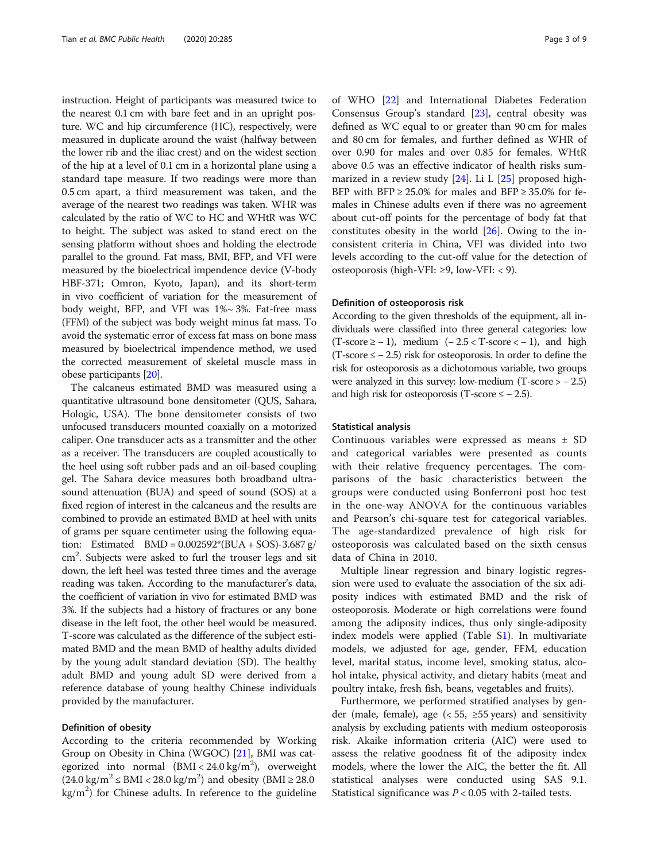instruction. Height of participants was measured twice to the nearest 0.1 cm with bare feet and in an upright posture. WC and hip circumference (HC), respectively, were measured in duplicate around the waist (halfway between the lower rib and the iliac crest) and on the widest section of the hip at a level of 0.1 cm in a horizontal plane using a standard tape measure. If two readings were more than 0.5 cm apart, a third measurement was taken, and the average of the nearest two readings was taken. WHR was calculated by the ratio of WC to HC and WHtR was WC to height. The subject was asked to stand erect on the sensing platform without shoes and holding the electrode parallel to the ground. Fat mass, BMI, BFP, and VFI were measured by the bioelectrical impendence device (V-body HBF-371; Omron, Kyoto, Japan), and its short-term in vivo coefficient of variation for the measurement of body weight, BFP, and VFI was 1%~ 3%. Fat-free mass (FFM) of the subject was body weight minus fat mass. To avoid the systematic error of excess fat mass on bone mass measured by bioelectrical impendence method, we used the corrected measurement of skeletal muscle mass in obese participants [\[20\]](#page-8-0).

The calcaneus estimated BMD was measured using a quantitative ultrasound bone densitometer (QUS, Sahara, Hologic, USA). The bone densitometer consists of two unfocused transducers mounted coaxially on a motorized caliper. One transducer acts as a transmitter and the other as a receiver. The transducers are coupled acoustically to the heel using soft rubber pads and an oil-based coupling gel. The Sahara device measures both broadband ultrasound attenuation (BUA) and speed of sound (SOS) at a fixed region of interest in the calcaneus and the results are combined to provide an estimated BMD at heel with units of grams per square centimeter using the following equation: Estimated  $BMD = 0.002592*(BUA + SOS) - 3.687 g/$ cm<sup>2</sup>. Subjects were asked to furl the trouser legs and sit down, the left heel was tested three times and the average reading was taken. According to the manufacturer's data, the coefficient of variation in vivo for estimated BMD was 3%. If the subjects had a history of fractures or any bone disease in the left foot, the other heel would be measured. T-score was calculated as the difference of the subject estimated BMD and the mean BMD of healthy adults divided by the young adult standard deviation (SD). The healthy adult BMD and young adult SD were derived from a reference database of young healthy Chinese individuals provided by the manufacturer.

#### Definition of obesity

According to the criteria recommended by Working Group on Obesity in China (WGOC) [\[21\]](#page-8-0), BMI was categorized into normal (BMI < 24.0 kg/m<sup>2</sup>), overweight  $(24.0 \text{ kg/m}^2 ≤ \text{BMI} < 28.0 \text{ kg/m}^2)$  and obesity (BMI ≥ 28.0)  $\text{kg/m}^2$ ) for Chinese adults. In reference to the guideline

of WHO [[22\]](#page-8-0) and International Diabetes Federation Consensus Group's standard [[23](#page-8-0)], central obesity was defined as WC equal to or greater than 90 cm for males and 80 cm for females, and further defined as WHR of over 0.90 for males and over 0.85 for females. WHtR above 0.5 was an effective indicator of health risks summarized in a review study [[24\]](#page-8-0). Li L [[25\]](#page-8-0) proposed high-BFP with BFP  $\geq 25.0\%$  for males and BFP  $\geq 35.0\%$  for females in Chinese adults even if there was no agreement about cut-off points for the percentage of body fat that constitutes obesity in the world [\[26](#page-8-0)]. Owing to the inconsistent criteria in China, VFI was divided into two levels according to the cut-off value for the detection of osteoporosis (high-VFI: ≥9, low-VFI: < 9).

#### Definition of osteoporosis risk

According to the given thresholds of the equipment, all individuals were classified into three general categories: low  $(T-score \ge -1)$ , medium  $(-2.5 < T-score < -1)$ , and high  $(T-score \le -2.5)$  risk for osteoporosis. In order to define the risk for osteoporosis as a dichotomous variable, two groups were analyzed in this survey: low-medium  $(T-score > -2.5)$ and high risk for osteoporosis (T-score  $\le$  - 2.5).

#### Statistical analysis

Continuous variables were expressed as means ± SD and categorical variables were presented as counts with their relative frequency percentages. The comparisons of the basic characteristics between the groups were conducted using Bonferroni post hoc test in the one-way ANOVA for the continuous variables and Pearson's chi-square test for categorical variables. The age-standardized prevalence of high risk for osteoporosis was calculated based on the sixth census data of China in 2010.

Multiple linear regression and binary logistic regression were used to evaluate the association of the six adiposity indices with estimated BMD and the risk of osteoporosis. Moderate or high correlations were found among the adiposity indices, thus only single-adiposity index models were applied (Table S[1\)](#page-7-0). In multivariate models, we adjusted for age, gender, FFM, education level, marital status, income level, smoking status, alcohol intake, physical activity, and dietary habits (meat and poultry intake, fresh fish, beans, vegetables and fruits).

Furthermore, we performed stratified analyses by gender (male, female), age  $(< 55, > 55$  years) and sensitivity analysis by excluding patients with medium osteoporosis risk. Akaike information criteria (AIC) were used to assess the relative goodness fit of the adiposity index models, where the lower the AIC, the better the fit. All statistical analyses were conducted using SAS 9.1. Statistical significance was  $P < 0.05$  with 2-tailed tests.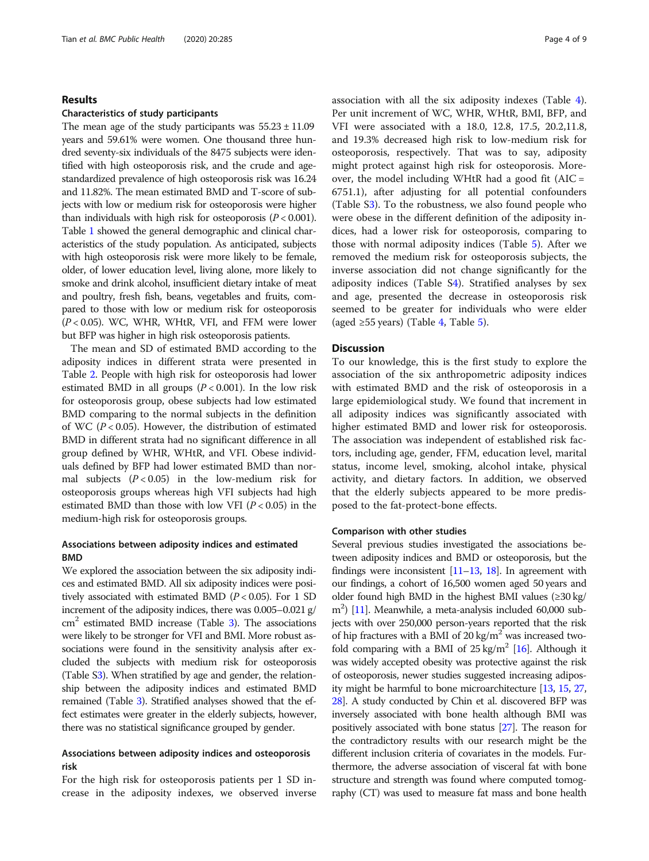#### Results

#### Characteristics of study participants

The mean age of the study participants was  $55.23 \pm 11.09$ years and 59.61% were women. One thousand three hundred seventy-six individuals of the 8475 subjects were identified with high osteoporosis risk, and the crude and agestandardized prevalence of high osteoporosis risk was 16.24 and 11.82%. The mean estimated BMD and T-score of subjects with low or medium risk for osteoporosis were higher than individuals with high risk for osteoporosis  $(P < 0.001)$ . Table [1](#page-4-0) showed the general demographic and clinical characteristics of the study population. As anticipated, subjects with high osteoporosis risk were more likely to be female, older, of lower education level, living alone, more likely to smoke and drink alcohol, insufficient dietary intake of meat and poultry, fresh fish, beans, vegetables and fruits, compared to those with low or medium risk for osteoporosis  $(P < 0.05)$ . WC, WHR, WHtR, VFI, and FFM were lower but BFP was higher in high risk osteoporosis patients.

The mean and SD of estimated BMD according to the adiposity indices in different strata were presented in Table [2](#page-5-0). People with high risk for osteoporosis had lower estimated BMD in all groups  $(P < 0.001)$ . In the low risk for osteoporosis group, obese subjects had low estimated BMD comparing to the normal subjects in the definition of WC ( $P < 0.05$ ). However, the distribution of estimated BMD in different strata had no significant difference in all group defined by WHR, WHtR, and VFI. Obese individuals defined by BFP had lower estimated BMD than normal subjects  $(P < 0.05)$  in the low-medium risk for osteoporosis groups whereas high VFI subjects had high estimated BMD than those with low VFI ( $P < 0.05$ ) in the medium-high risk for osteoporosis groups.

#### Associations between adiposity indices and estimated BMD

We explored the association between the six adiposity indices and estimated BMD. All six adiposity indices were positively associated with estimated BMD ( $P < 0.05$ ). For 1 SD increment of the adiposity indices, there was 0.005–0.021 g/  $\text{cm}^2$  estimated BMD increase (Table [3\)](#page-5-0). The associations were likely to be stronger for VFI and BMI. More robust associations were found in the sensitivity analysis after excluded the subjects with medium risk for osteoporosis (Table [S3](#page-7-0)). When stratified by age and gender, the relationship between the adiposity indices and estimated BMD remained (Table [3](#page-5-0)). Stratified analyses showed that the effect estimates were greater in the elderly subjects, however, there was no statistical significance grouped by gender.

#### Associations between adiposity indices and osteoporosis risk

For the high risk for osteoporosis patients per 1 SD increase in the adiposity indexes, we observed inverse association with all the six adiposity indexes (Table [4](#page-6-0)). Per unit increment of WC, WHR, WHtR, BMI, BFP, and VFI were associated with a 18.0, 12.8, 17.5, 20.2,11.8, and 19.3% decreased high risk to low-medium risk for osteoporosis, respectively. That was to say, adiposity might protect against high risk for osteoporosis. Moreover, the model including WHtR had a good fit (AIC = 6751.1), after adjusting for all potential confounders (Table S[3\)](#page-7-0). To the robustness, we also found people who were obese in the different definition of the adiposity indices, had a lower risk for osteoporosis, comparing to those with normal adiposity indices (Table [5](#page-6-0)). After we removed the medium risk for osteoporosis subjects, the inverse association did not change significantly for the adiposity indices (Table S[4\)](#page-7-0). Stratified analyses by sex and age, presented the decrease in osteoporosis risk seemed to be greater for individuals who were elder (aged ≥55 years) (Table [4,](#page-6-0) Table [5](#page-6-0)).

#### **Discussion**

To our knowledge, this is the first study to explore the association of the six anthropometric adiposity indices with estimated BMD and the risk of osteoporosis in a large epidemiological study. We found that increment in all adiposity indices was significantly associated with higher estimated BMD and lower risk for osteoporosis. The association was independent of established risk factors, including age, gender, FFM, education level, marital status, income level, smoking, alcohol intake, physical activity, and dietary factors. In addition, we observed that the elderly subjects appeared to be more predisposed to the fat-protect-bone effects.

#### Comparison with other studies

Several previous studies investigated the associations between adiposity indices and BMD or osteoporosis, but the findings were inconsistent  $[11-13, 18]$  $[11-13, 18]$  $[11-13, 18]$  $[11-13, 18]$  $[11-13, 18]$  $[11-13, 18]$  $[11-13, 18]$ . In agreement with our findings, a cohort of 16,500 women aged 50 years and older found high BMD in the highest BMI values  $(\geq 30 \text{ kg})$ m2 ) [[11\]](#page-8-0). Meanwhile, a meta-analysis included 60,000 subjects with over 250,000 person-years reported that the risk of hip fractures with a BMI of 20 kg/ $m<sup>2</sup>$  was increased twofold comparing with a BMI of  $25 \text{ kg/m}^2$  [\[16](#page-8-0)]. Although it was widely accepted obesity was protective against the risk of osteoporosis, newer studies suggested increasing adiposity might be harmful to bone microarchitecture [\[13,](#page-8-0) [15](#page-8-0), [27](#page-8-0), [28](#page-8-0)]. A study conducted by Chin et al. discovered BFP was inversely associated with bone health although BMI was positively associated with bone status [[27](#page-8-0)]. The reason for the contradictory results with our research might be the different inclusion criteria of covariates in the models. Furthermore, the adverse association of visceral fat with bone structure and strength was found where computed tomography (CT) was used to measure fat mass and bone health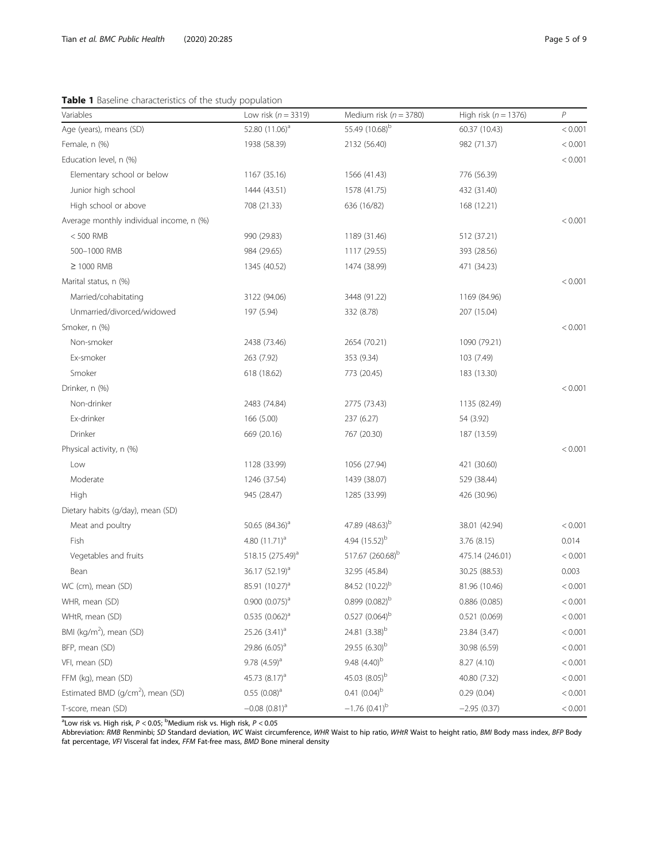<span id="page-4-0"></span>Table 1 Baseline characteristics of the study population

| Variables                                     | Low risk ( $n = 3319$ )      | Medium risk ( $n = 3780$ )   | High risk ( $n = 1376$ ) | P       |
|-----------------------------------------------|------------------------------|------------------------------|--------------------------|---------|
| Age (years), means (SD)                       | 52.80 $(11.06)^a$            | 55.49 (10.68) <sup>b</sup>   | 60.37 (10.43)            | < 0.001 |
| Female, n (%)                                 | 1938 (58.39)                 | 2132 (56.40)                 | 982 (71.37)              | < 0.001 |
| Education level, n (%)                        |                              |                              |                          | < 0.001 |
| Elementary school or below                    | 1167 (35.16)                 | 1566 (41.43)                 | 776 (56.39)              |         |
| Junior high school                            | 1444 (43.51)                 | 1578 (41.75)                 | 432 (31.40)              |         |
| High school or above                          | 708 (21.33)                  | 636 (16/82)                  | 168 (12.21)              |         |
| Average monthly individual income, n (%)      |                              |                              |                          | < 0.001 |
| $< 500$ RMB                                   | 990 (29.83)                  | 1189 (31.46)                 | 512 (37.21)              |         |
| 500-1000 RMB                                  | 984 (29.65)                  | 1117 (29.55)                 | 393 (28.56)              |         |
| $\geq$ 1000 RMB                               | 1345 (40.52)                 | 1474 (38.99)                 | 471 (34.23)              |         |
| Marital status, n (%)                         |                              |                              |                          | < 0.001 |
| Married/cohabitating                          | 3122 (94.06)                 | 3448 (91.22)                 | 1169 (84.96)             |         |
| Unmarried/divorced/widowed                    | 197 (5.94)                   | 332 (8.78)                   | 207 (15.04)              |         |
| Smoker, n (%)                                 |                              |                              |                          | < 0.001 |
| Non-smoker                                    | 2438 (73.46)                 | 2654 (70.21)                 | 1090 (79.21)             |         |
| Ex-smoker                                     | 263 (7.92)                   | 353 (9.34)                   | 103 (7.49)               |         |
| Smoker                                        | 618 (18.62)                  | 773 (20.45)                  | 183 (13.30)              |         |
| Drinker, n (%)                                |                              |                              |                          | < 0.001 |
| Non-drinker                                   | 2483 (74.84)                 | 2775 (73.43)                 | 1135 (82.49)             |         |
| Ex-drinker                                    | 166 (5.00)                   | 237 (6.27)                   | 54 (3.92)                |         |
| Drinker                                       | 669 (20.16)                  | 767 (20.30)                  | 187 (13.59)              |         |
| Physical activity, n (%)                      |                              |                              |                          | < 0.001 |
| Low                                           | 1128 (33.99)                 | 1056 (27.94)                 | 421 (30.60)              |         |
| Moderate                                      | 1246 (37.54)                 | 1439 (38.07)                 | 529 (38.44)              |         |
| High                                          | 945 (28.47)                  | 1285 (33.99)                 | 426 (30.96)              |         |
| Dietary habits (g/day), mean (SD)             |                              |                              |                          |         |
| Meat and poultry                              | 50.65 $(84.36)^a$            | 47.89 (48.63) <sup>b</sup>   | 38.01 (42.94)            | < 0.001 |
| Fish                                          | 4.80 $(11.71)^a$             | 4.94 $(15.52)^{b}$           | 3.76(8.15)               | 0.014   |
| Vegetables and fruits                         | 518.15 (275.49) <sup>a</sup> | 517.67 (260.68) <sup>b</sup> | 475.14 (246.01)          | < 0.001 |
| Bean                                          | 36.17 (52.19) <sup>a</sup>   | 32.95 (45.84)                | 30.25 (88.53)            | 0.003   |
| WC (cm), mean (SD)                            | 85.91 (10.27) <sup>a</sup>   | 84.52 (10.22) <sup>b</sup>   | 81.96 (10.46)            | < 0.001 |
| WHR, mean (SD)                                | $0.900(0.075)^a$             | $0.899(0.082)^{b}$           | 0.886(0.085)             | < 0.001 |
| WHtR, mean (SD)                               | $0.535(0.062)^a$             | $0.527$ $(0.064)^{b}$        | 0.521(0.069)             | < 0.001 |
| BMI (kg/m <sup>2</sup> ), mean (SD)           | 25.26 $(3.41)^a$             | 24.81 $(3.38)^b$             | 23.84 (3.47)             | < 0.001 |
| BFP, mean (SD)                                | 29.86 $(6.05)^a$             | 29.55 $(6.30)^b$             | 30.98 (6.59)             | < 0.001 |
| VFI, mean (SD)                                | $9.78$ $(4.59)^a$            | 9.48 $(4.40)^{b}$            | 8.27 (4.10)              | < 0.001 |
| FFM (kg), mean (SD)                           | 45.73 $(8.17)^a$             | 45.03 (8.05) <sup>b</sup>    | 40.80 (7.32)             | < 0.001 |
| Estimated BMD (g/cm <sup>2</sup> ), mean (SD) | $0.55$ $(0.08)^a$            | $0.41(0.04)^b$               | 0.29(0.04)               | < 0.001 |
| T-score, mean (SD)                            | $-0.08$ $(0.81)^a$           | $-1.76$ (0.41) <sup>b</sup>  | $-2.95(0.37)$            | < 0.001 |

 $^{\rm a}$ Low risk vs. High risk,  $P$  < 0.05;  $^{\rm b}$ Medium risk vs. High risk,  $P$  < 0.05

Abbreviation: RMB Renminbi; SD Standard deviation, WC Waist circumference, WHR Waist to hip ratio, WHtR Waist to height ratio, BMI Body mass index, BFP Body fat percentage, VFI Visceral fat index, FFM Fat-free mass, BMD Bone mineral density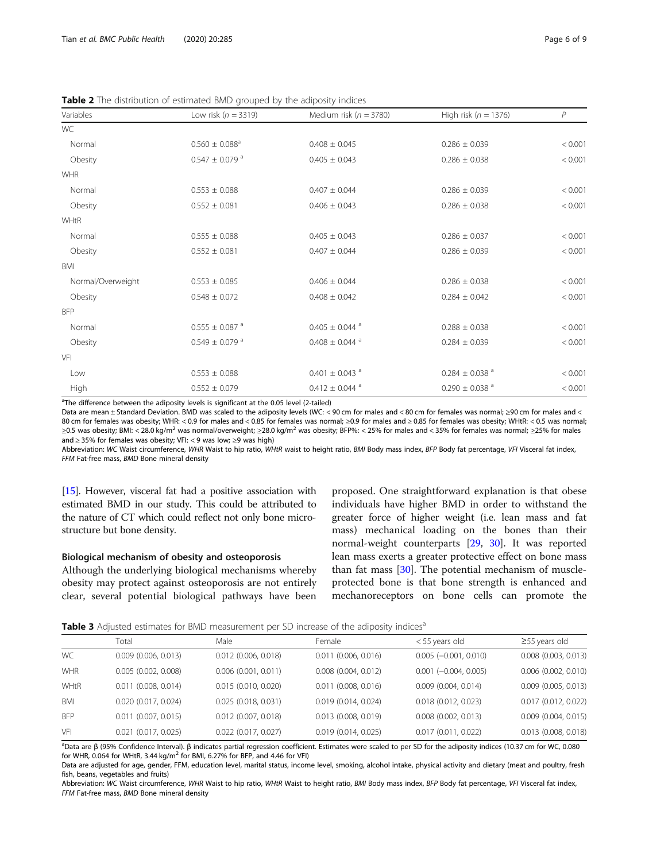<span id="page-5-0"></span>

|  |  | Table 2 The distribution of estimated BMD grouped by the adiposity indices |
|--|--|----------------------------------------------------------------------------|
|  |  |                                                                            |

| Variables         | Low risk ( $n = 3319$ )        | Medium risk ( $n = 3780$ )     | High risk ( $n = 1376$ )       | P       |
|-------------------|--------------------------------|--------------------------------|--------------------------------|---------|
| WC                |                                |                                |                                |         |
| Normal            | $0.560 \pm 0.088^{\rm a}$      | $0.408 \pm 0.045$              | $0.286 \pm 0.039$              | < 0.001 |
| Obesity           | $0.547 \pm 0.079$ <sup>a</sup> | $0.405 \pm 0.043$              | $0.286 \pm 0.038$              | < 0.001 |
| <b>WHR</b>        |                                |                                |                                |         |
| Normal            | $0.553 \pm 0.088$              | $0.407 \pm 0.044$              | $0.286 \pm 0.039$              | < 0.001 |
| Obesity           | $0.552 \pm 0.081$              | $0.406 \pm 0.043$              | $0.286 \pm 0.038$              | < 0.001 |
| WHtR              |                                |                                |                                |         |
| Normal            | $0.555 \pm 0.088$              | $0.405 \pm 0.043$              | $0.286 \pm 0.037$              | < 0.001 |
| Obesity           | $0.552 \pm 0.081$              | $0.407 \pm 0.044$              | $0.286 \pm 0.039$              | < 0.001 |
| BMI               |                                |                                |                                |         |
| Normal/Overweight | $0.553 \pm 0.085$              | $0.406 \pm 0.044$              | $0.286 \pm 0.038$              | < 0.001 |
| Obesity           | $0.548 \pm 0.072$              | $0.408 \pm 0.042$              | $0.284 \pm 0.042$              | < 0.001 |
| <b>BFP</b>        |                                |                                |                                |         |
| Normal            | $0.555 \pm 0.087$ <sup>a</sup> | $0.405 \pm 0.044$ <sup>a</sup> | $0.288 \pm 0.038$              | < 0.001 |
| Obesity           | $0.549 \pm 0.079$ <sup>a</sup> | $0.408 \pm 0.044$ <sup>a</sup> | $0.284 \pm 0.039$              | < 0.001 |
| VFI               |                                |                                |                                |         |
| Low               | $0.553 \pm 0.088$              | $0.401 \pm 0.043$ <sup>a</sup> | $0.284 \pm 0.038$ <sup>a</sup> | < 0.001 |
| High              | $0.552 \pm 0.079$              | $0.412 \pm 0.044$ <sup>a</sup> | $0.290 \pm 0.038$ <sup>a</sup> | < 0.001 |

<sup>a</sup>The difference between the adiposity levels is significant at the 0.05 level (2-tailed)

Data are mean ± Standard Deviation. BMD was scaled to the adiposity levels (WC: < 90 cm for males and < 80 cm for females was normal; ≥90 cm for males and < 80 cm for females was obesity; WHR: < 0.9 for males and < 0.85 for females was normal; ≥0.9 for males and ≥ 0.85 for females was obesity; WHtR: < 0.5 was normal; ≥0.5 was obesity; BMI: < 28.0 kg/m<sup>2</sup> was normal/overweight; ≥28.0 kg/m<sup>2</sup> was obesity; BFP%: < 25% for males and < 35% for females was normal; ≥25% for males and ≥ 35% for females was obesity; VFI: < 9 was low; ≥9 was high)

Abbreviation: WC Waist circumference, WHR Waist to hip ratio, WHtR waist to height ratio, BMI Body mass index, BFP Body fat percentage, VFI Visceral fat index, FFM Fat-free mass, BMD Bone mineral density

[[15](#page-8-0)]. However, visceral fat had a positive association with estimated BMD in our study. This could be attributed to the nature of CT which could reflect not only bone microstructure but bone density.

#### Biological mechanism of obesity and osteoporosis

Although the underlying biological mechanisms whereby obesity may protect against osteoporosis are not entirely clear, several potential biological pathways have been

proposed. One straightforward explanation is that obese individuals have higher BMD in order to withstand the greater force of higher weight (i.e. lean mass and fat mass) mechanical loading on the bones than their normal-weight counterparts [\[29](#page-8-0), [30](#page-8-0)]. It was reported lean mass exerts a greater protective effect on bone mass than fat mass [\[30\]](#page-8-0). The potential mechanism of muscleprotected bone is that bone strength is enhanced and mechanoreceptors on bone cells can promote the

**Table 3** Adjusted estimates for BMD measurement per SD increase of the adjposity indices<sup>a</sup>

|            | Total                    | Male                   | Female                   | < 55 years old                 | $\geq$ 55 years old      |
|------------|--------------------------|------------------------|--------------------------|--------------------------------|--------------------------|
| WC         | $0.009$ (0.006, 0.013)   | $0.012$ (0.006, 0.018) | $0.011$ (0.006, 0.016)   | $0.005$ (-0.001, 0.010)        | $0.008$ $(0.003, 0.013)$ |
| <b>WHR</b> | 0.005(0.002, 0.008)      | 0.006(0.001, 0.011)    | $0.008$ $(0.004, 0.012)$ | $0.001$ ( $-0.004$ , $0.005$ ) | $0.006$ $(0.002, 0.010)$ |
| WHtR       | $0.011$ (0.008, 0.014)   | 0.015(0.010, 0.020)    | $0.011$ (0.008, 0.016)   | $0.009$ $(0.004, 0.014)$       | $0.009$ (0.005, 0.013)   |
| BMI        | $0.020$ $(0.017, 0.024)$ | 0.025(0.018, 0.031)    | 0.019 (0.014, 0.024)     | $0.018$ $(0.012, 0.023)$       | 0.017 (0.012, 0.022)     |
| <b>BFP</b> | $0.011$ (0.007, 0.015)   | $0.012$ (0.007, 0.018) | $0.013$ $(0.008, 0.019)$ | $0.008$ $(0.002, 0.013)$       | $0.009$ (0.004, 0.015)   |
| VFI        | $0.021$ (0.017, 0.025)   | $0.022$ (0.017, 0.027) | 0.019(0.014, 0.025)      | 0.017(0.011, 0.022)            | 0.013 (0.008, 0.018)     |

a<br><sup>a</sup>Data are β (95% Confidence Interval). β indicates partial regression coefficient. Estimates were scaled to per SD for the adiposity indices (10.37 cm for WC, 0.080 for WHR, 0.064 for WHtR, 3.44 kg/m<sup>2</sup> for BMI, 6.27% for BFP, and 4.46 for VFI)

Data are adjusted for age, gender, FFM, education level, marital status, income level, smoking, alcohol intake, physical activity and dietary (meat and poultry, fresh fish, beans, vegetables and fruits)

Abbreviation: WC Waist circumference, WHR Waist to hip ratio, WHtR Waist to height ratio, BMI Body mass index, BFP Body fat percentage, VFI Visceral fat index, FFM Fat-free mass, BMD Bone mineral density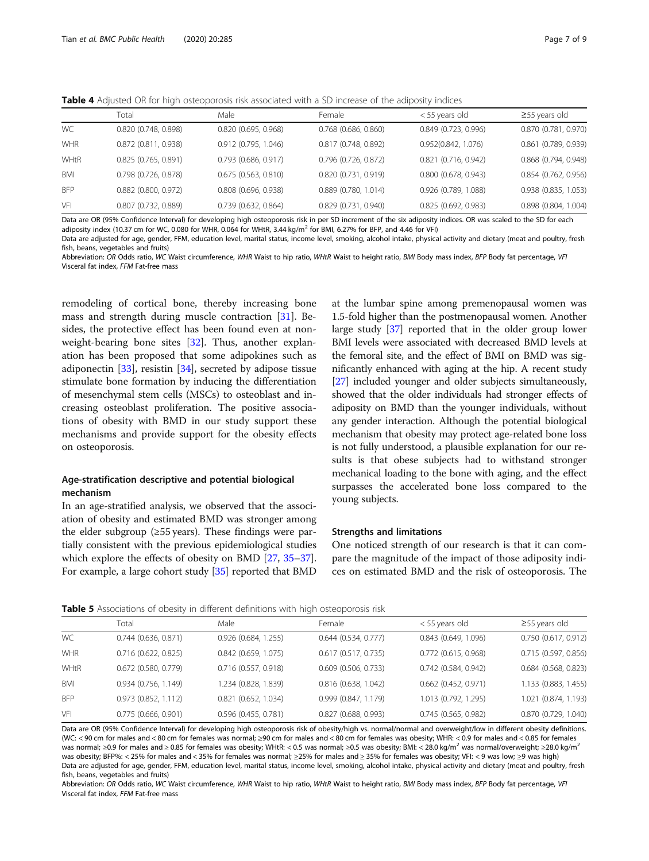<span id="page-6-0"></span>Table 4 Adjusted OR for high osteoporosis risk associated with a SD increase of the adiposity indices

|            | Total                  | Male                   | Female                 | < 55 years old         | $\geq$ 55 years old  |
|------------|------------------------|------------------------|------------------------|------------------------|----------------------|
| WC         | 0.820 (0.748, 0.898)   | 0.820(0.695, 0.968)    | $0.768$ (0.686, 0.860) | 0.849 (0.723, 0.996)   | 0.870 (0.781, 0.970) |
| <b>WHR</b> | 0.872 (0.811, 0.938)   | 0.912 (0.795, 1.046)   | 0.817 (0.748, 0.892)   | 0.952(0.842, 1.076)    | 0.861 (0.789, 0.939) |
| WHtR       | 0.825 (0.765, 0.891)   | $0.793$ (0.686, 0.917) | 0.796 (0.726, 0.872)   | 0.821 (0.716, 0.942)   | 0.868 (0.794, 0.948) |
| BMI        | $0.798$ (0.726, 0.878) | 0.675(0.563, 0.810)    | 0.820 (0.731, 0.919)   | $0.800$ (0.678, 0.943) | 0.854 (0.762, 0.956) |
| <b>BFP</b> | $0.882$ (0.800, 0.972) | $0.808$ (0.696, 0.938) | $0.889$ (0.780, 1.014) | 0.926 (0.789, 1.088)   | 0.938 (0.835, 1.053) |
| VFI        | $0.807$ (0.732, 0.889) | 0.739(0.632, 0.864)    | 0.829 (0.731, 0.940)   | 0.825(0.692, 0.983)    | 0.898 (0.804, 1.004) |

Data are OR (95% Confidence Interval) for developing high osteoporosis risk in per SD increment of the six adiposity indices. OR was scaled to the SD for each adiposity index (10.37 cm for WC, 0.080 for WHR, 0.064 for WHtR, 3.44 kg/m<sup>2</sup> for BMI, 6.27% for BFP, and 4.46 for VFI)

Data are adjusted for age, gender, FFM, education level, marital status, income level, smoking, alcohol intake, physical activity and dietary (meat and poultry, fresh fish, beans, vegetables and fruits)

Abbreviation: OR Odds ratio, WC Waist circumference, WHR Waist to hip ratio, WHtR Waist to height ratio, BMI Body mass index, BFP Body fat percentage, VFI Visceral fat index, FFM Fat-free mass

remodeling of cortical bone, thereby increasing bone mass and strength during muscle contraction [\[31](#page-8-0)]. Besides, the protective effect has been found even at nonweight-bearing bone sites [\[32](#page-8-0)]. Thus, another explanation has been proposed that some adipokines such as adiponectin [\[33\]](#page-8-0), resistin [\[34](#page-8-0)], secreted by adipose tissue stimulate bone formation by inducing the differentiation of mesenchymal stem cells (MSCs) to osteoblast and increasing osteoblast proliferation. The positive associations of obesity with BMD in our study support these mechanisms and provide support for the obesity effects on osteoporosis.

### Age-stratification descriptive and potential biological mechanism

In an age-stratified analysis, we observed that the association of obesity and estimated BMD was stronger among the elder subgroup  $(≥55 \text{ years})$ . These findings were partially consistent with the previous epidemiological studies which explore the effects of obesity on BMD [\[27,](#page-8-0) [35](#page-8-0)–[37](#page-8-0)]. For example, a large cohort study [\[35](#page-8-0)] reported that BMD

at the lumbar spine among premenopausal women was 1.5-fold higher than the postmenopausal women. Another large study [[37](#page-8-0)] reported that in the older group lower BMI levels were associated with decreased BMD levels at the femoral site, and the effect of BMI on BMD was significantly enhanced with aging at the hip. A recent study [[27](#page-8-0)] included younger and older subjects simultaneously, showed that the older individuals had stronger effects of adiposity on BMD than the younger individuals, without any gender interaction. Although the potential biological mechanism that obesity may protect age-related bone loss is not fully understood, a plausible explanation for our results is that obese subjects had to withstand stronger mechanical loading to the bone with aging, and the effect surpasses the accelerated bone loss compared to the young subjects.

#### Strengths and limitations

One noticed strength of our research is that it can compare the magnitude of the impact of those adiposity indices on estimated BMD and the risk of osteoporosis. The

**Table 5** Associations of obesity in different definitions with high osteoporosis risk

|            | Total                    | Male                   | Female                   | < 55 years old         | $\geq$ 55 years old  |
|------------|--------------------------|------------------------|--------------------------|------------------------|----------------------|
| WC         | $0.744$ (0.636, 0.871)   | 0.926 (0.684, 1.255)   | $0.644$ $(0.534, 0.777)$ | $0.843$ (0.649, 1.096) | 0.750 (0.617, 0.912) |
| WHR        | 0.716(0.622, 0.825)      | $0.842$ (0.659, 1.075) | 0.617(0.517, 0.735)      | $0.772$ (0.615, 0.968) | 0.715 (0.597, 0.856) |
| WHtR       | $0.672$ (0.580, 0.779)   | $0.716$ (0.557, 0.918) | $0.609$ (0.506, 0.733)   | 0.742(0.584, 0.942)    | 0.684 (0.568, 0.823) |
| <b>BMI</b> | 0.934(0.756, 1.149)      | 1.234 (0.828, 1.839)   | $0.816$ (0.638, 1.042)   | $0.662$ (0.452, 0.971) | 1.133 (0.883, 1.455) |
| <b>BFP</b> | $0.973$ $(0.852, 1.112)$ | 0.821 (0.652, 1.034)   | 0.999(0.847, 1.179)      | 1.013 (0.792, 1.295)   | 1.021 (0.874, 1.193) |
| VFI        | 0.775(0.666, 0.901)      | 0.596 (0.455, 0.781)   | 0.827 (0.688, 0.993)     | 0.745(0.565, 0.982)    | 0.870 (0.729, 1.040) |

Data are OR (95% Confidence Interval) for developing high osteoporosis risk of obesity/high vs. normal/normal and overweight/low in different obesity definitions. (WC: < 90 cm for males and < 80 cm for females was normal; ≥90 cm for males and < 80 cm for females was obesity; WHR: < 0.9 for males and < 0.85 for females was normal; ≥0.9 for males and ≥ 0.85 for females was obesity; WHtR: < 0.5 was normal; ≥0.5 was obesity; BMI: < 28.0 kg/m<sup>2</sup> was normal/overweight; ≥28.0 kg/m<sup>2</sup> was obesity; BFP%: < 25% for males and < 35% for females was normal; ≥25% for males and ≥ 35% for females was obesity; VFI: < 9 was low; ≥9 was high) Data are adjusted for age, gender, FFM, education level, marital status, income level, smoking, alcohol intake, physical activity and dietary (meat and poultry, fresh fish, beans, vegetables and fruits)

Abbreviation: OR Odds ratio, WC Waist circumference, WHR Waist to hip ratio, WHtR Waist to height ratio, BMI Body mass index, BFP Body fat percentage, VFI Visceral fat index, FFM Fat-free mass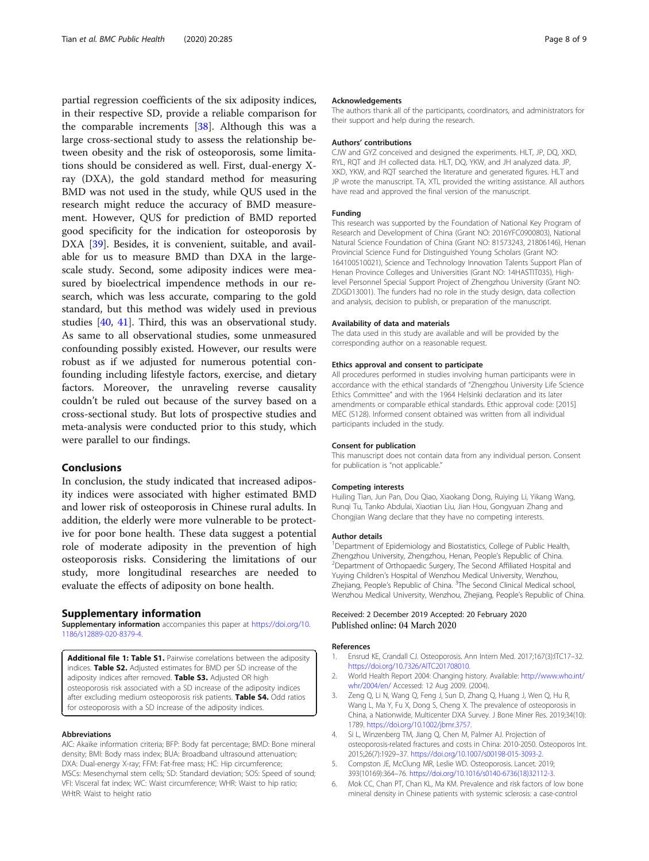<span id="page-7-0"></span>partial regression coefficients of the six adiposity indices, in their respective SD, provide a reliable comparison for the comparable increments [\[38](#page-8-0)]. Although this was a large cross-sectional study to assess the relationship between obesity and the risk of osteoporosis, some limitations should be considered as well. First, dual-energy Xray (DXA), the gold standard method for measuring BMD was not used in the study, while QUS used in the research might reduce the accuracy of BMD measurement. However, QUS for prediction of BMD reported good specificity for the indication for osteoporosis by DXA [[39\]](#page-8-0). Besides, it is convenient, suitable, and available for us to measure BMD than DXA in the largescale study. Second, some adiposity indices were measured by bioelectrical impendence methods in our research, which was less accurate, comparing to the gold standard, but this method was widely used in previous studies [\[40,](#page-8-0) [41\]](#page-8-0). Third, this was an observational study. As same to all observational studies, some unmeasured confounding possibly existed. However, our results were robust as if we adjusted for numerous potential confounding including lifestyle factors, exercise, and dietary factors. Moreover, the unraveling reverse causality couldn't be ruled out because of the survey based on a cross-sectional study. But lots of prospective studies and meta-analysis were conducted prior to this study, which were parallel to our findings.

#### Conclusions

In conclusion, the study indicated that increased adiposity indices were associated with higher estimated BMD and lower risk of osteoporosis in Chinese rural adults. In addition, the elderly were more vulnerable to be protective for poor bone health. These data suggest a potential role of moderate adiposity in the prevention of high osteoporosis risks. Considering the limitations of our study, more longitudinal researches are needed to evaluate the effects of adiposity on bone health.

#### Supplementary information

Supplementary information accompanies this paper at [https://doi.org/10.](https://doi.org/10.1186/s12889-020-8379-4) [1186/s12889-020-8379-4.](https://doi.org/10.1186/s12889-020-8379-4)

Additional file 1: Table S1. Pairwise correlations between the adiposity indices. Table S2. Adjusted estimates for BMD per SD increase of the adiposity indices after removed. Table S3. Adjusted OR high osteoporosis risk associated with a SD increase of the adiposity indices after excluding medium osteoporosis risk patients. Table S4. Odd ratios for osteoporosis with a SD increase of the adiposity indices.

#### Abbreviations

AIC: Akaike information criteria; BFP: Body fat percentage; BMD: Bone mineral density; BMI: Body mass index; BUA: Broadband ultrasound attenuation; DXA: Dual-energy X-ray; FFM: Fat-free mass; HC: Hip circumference; MSCs: Mesenchymal stem cells; SD: Standard deviation; SOS: Speed of sound; VFI: Visceral fat index; WC: Waist circumference; WHR: Waist to hip ratio; WHtR: Waist to height ratio

#### Acknowledgements

The authors thank all of the participants, coordinators, and administrators for their support and help during the research.

#### Authors' contributions

CJW and GYZ conceived and designed the experiments. HLT, JP, DQ, XKD, RYL, RQT and JH collected data. HLT, DQ, YKW, and JH analyzed data. JP, XKD, YKW, and RQT searched the literature and generated figures. HLT and JP wrote the manuscript. TA, XTL provided the writing assistance. All authors have read and approved the final version of the manuscript.

#### Funding

This research was supported by the Foundation of National Key Program of Research and Development of China (Grant NO: 2016YFC0900803), National Natural Science Foundation of China (Grant NO: 81573243, 21806146), Henan Provincial Science Fund for Distinguished Young Scholars (Grant NO: 164100510021), Science and Technology Innovation Talents Support Plan of Henan Province Colleges and Universities (Grant NO: 14HASTIT035), Highlevel Personnel Special Support Project of Zhengzhou University (Grant NO: ZDGD13001). The funders had no role in the study design, data collection and analysis, decision to publish, or preparation of the manuscript.

#### Availability of data and materials

The data used in this study are available and will be provided by the corresponding author on a reasonable request.

#### Ethics approval and consent to participate

All procedures performed in studies involving human participants were in accordance with the ethical standards of "Zhengzhou University Life Science Ethics Committee" and with the 1964 Helsinki declaration and its later amendments or comparable ethical standards. Ethic approval code: [2015] MEC (S128). Informed consent obtained was written from all individual participants included in the study.

#### Consent for publication

This manuscript does not contain data from any individual person. Consent for publication is "not applicable."

#### Competing interests

Huiling Tian, Jun Pan, Dou Qiao, Xiaokang Dong, Ruiying Li, Yikang Wang, Runqi Tu, Tanko Abdulai, Xiaotian Liu, Jian Hou, Gongyuan Zhang and Chongjian Wang declare that they have no competing interests.

#### Author details

<sup>1</sup>Department of Epidemiology and Biostatistics, College of Public Health, Zhengzhou University, Zhengzhou, Henan, People's Republic of China. <sup>2</sup>Department of Orthopaedic Surgery, The Second Affiliated Hospital and Yuying Children's Hospital of Wenzhou Medical University, Wenzhou, Zhejiang, People's Republic of China. <sup>3</sup>The Second Clinical Medical school, Wenzhou Medical University, Wenzhou, Zhejiang, People's Republic of China.

#### Received: 2 December 2019 Accepted: 20 February 2020 Published online: 04 March 2020

#### References

- 1. Ensrud KE, Crandall CJ. Osteoporosis. Ann Intern Med. 2017;167(3):ITC17–32. [https://doi.org/10.7326/AITC201708010.](https://doi.org/10.7326/AITC201708010)
- 2. World Health Report 2004: Changing history. Available: [http://www.who.int/](http://www.who.int/whr/2004/en/) [whr/2004/en/](http://www.who.int/whr/2004/en/) Accessed: 12 Aug 2009. (2004).
- 3. Zeng Q, Li N, Wang Q, Feng J, Sun D, Zhang Q, Huang J, Wen Q, Hu R, Wang L, Ma Y, Fu X, Dong S, Cheng X. The prevalence of osteoporosis in China, a Nationwide, Multicenter DXA Survey. J Bone Miner Res. 2019;34(10): 1789. [https://doi.org/10.1002/jbmr.3757.](https://doi.org/10.1002/jbmr.3757)
- 4. Si L, Winzenberg TM, Jiang Q, Chen M, Palmer AJ. Projection of osteoporosis-related fractures and costs in China: 2010-2050. Osteoporos Int. 2015;26(7):1929–37. <https://doi.org/10.1007/s00198-015-3093-2>.
- 5. Compston JE, McClung MR, Leslie WD. Osteoporosis. Lancet. 2019; 393(10169):364–76. [https://doi.org/10.1016/s0140-6736\(18\)32112-3](https://doi.org/10.1016/s0140-6736(18)32112-3).
- 6. Mok CC, Chan PT, Chan KL, Ma KM. Prevalence and risk factors of low bone mineral density in Chinese patients with systemic sclerosis: a case-control